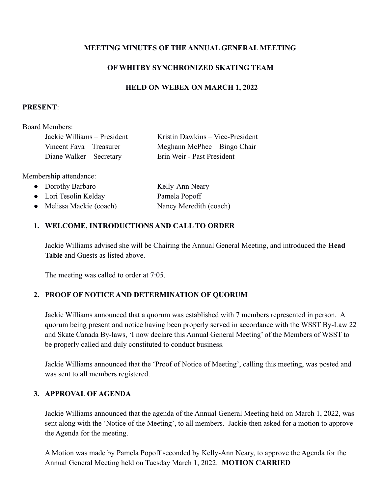### **MEETING MINUTES OF THE ANNUAL GENERAL MEETING**

### **OF WHITBY SYNCHRONIZED SKATING TEAM**

#### **HELD ON WEBEX ON MARCH 1, 2022**

#### **PRESENT**:

Board Members:

| Jackie Williams – President | Kristin Dawkins - Vice-President |
|-----------------------------|----------------------------------|
| Vincent Fava – Treasurer    | Meghann McPhee – Bingo Chair     |
| Diane Walker – Secretary    | Erin Weir - Past President       |

Membership attendance:

| • Dorothy Barbaro        | Kelly-Ann Neary        |
|--------------------------|------------------------|
| • Lori Tesolin Kelday    | Pamela Popoff          |
| • Melissa Mackie (coach) | Nancy Meredith (coach) |

### **1. WELCOME, INTRODUCTIONS AND CALL TO ORDER**

Jackie Williams advised she will be Chairing the Annual General Meeting, and introduced the **Head Table** and Guests as listed above.

The meeting was called to order at 7:05.

# **2. PROOF OF NOTICE AND DETERMINATION OF QUORUM**

Jackie Williams announced that a quorum was established with 7 members represented in person. A quorum being present and notice having been properly served in accordance with the WSST By-Law 22 and Skate Canada By-laws, 'I now declare this Annual General Meeting' of the Members of WSST to be properly called and duly constituted to conduct business.

Jackie Williams announced that the 'Proof of Notice of Meeting', calling this meeting, was posted and was sent to all members registered.

#### **3. APPROVAL OF AGENDA**

Jackie Williams announced that the agenda of the Annual General Meeting held on March 1, 2022, was sent along with the 'Notice of the Meeting', to all members. Jackie then asked for a motion to approve the Agenda for the meeting.

A Motion was made by Pamela Popoff seconded by Kelly-Ann Neary, to approve the Agenda for the Annual General Meeting held on Tuesday March 1, 2022. **MOTION CARRIED**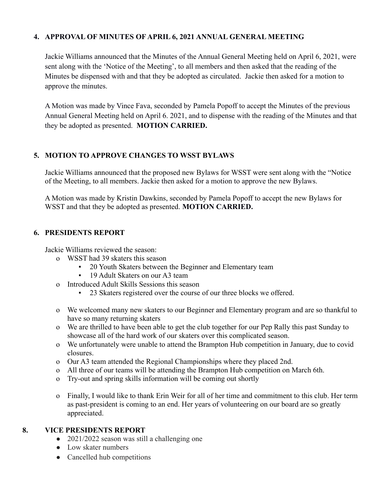## **4. APPROVAL OF MINUTES OF APRIL 6, 2021 ANNUAL GENERAL MEETING**

Jackie Williams announced that the Minutes of the Annual General Meeting held on April 6, 2021, were sent along with the 'Notice of the Meeting', to all members and then asked that the reading of the Minutes be dispensed with and that they be adopted as circulated. Jackie then asked for a motion to approve the minutes.

A Motion was made by Vince Fava, seconded by Pamela Popoff to accept the Minutes of the previous Annual General Meeting held on April 6. 2021, and to dispense with the reading of the Minutes and that they be adopted as presented. **MOTION CARRIED.**

### **5. MOTION TO APPROVE CHANGES TO WSST BYLAWS**

Jackie Williams announced that the proposed new Bylaws for WSST were sent along with the "Notice of the Meeting, to all members. Jackie then asked for a motion to approve the new Bylaws.

A Motion was made by Kristin Dawkins, seconded by Pamela Popoff to accept the new Bylaws for WSST and that they be adopted as presented. **MOTION CARRIED.**

#### **6. PRESIDENTS REPORT**

Jackie Williams reviewed the season:

- o WSST had 39 skaters this season
	- 20 Youth Skaters between the Beginner and Elementary team
	- **•** 19 Adult Skaters on our A3 team
- o Introduced Adult Skills Sessions this season
	- 23 Skaters registered over the course of our three blocks we offered.
- o We welcomed many new skaters to our Beginner and Elementary program and are so thankful to have so many returning skaters
- o We are thrilled to have been able to get the club together for our Pep Rally this past Sunday to showcase all of the hard work of our skaters over this complicated season.
- o We unfortunately were unable to attend the Brampton Hub competition in January, due to covid closures.
- o Our A3 team attended the Regional Championships where they placed 2nd.
- o All three of our teams will be attending the Brampton Hub competition on March 6th.
- o Try-out and spring skills information will be coming out shortly
- o Finally, I would like to thank Erin Weir for all of her time and commitment to this club. Her term as past-president is coming to an end. Her years of volunteering on our board are so greatly appreciated.

#### **8. VICE PRESIDENTS REPORT**

- 2021/2022 season was still a challenging one
- Low skater numbers
- Cancelled hub competitions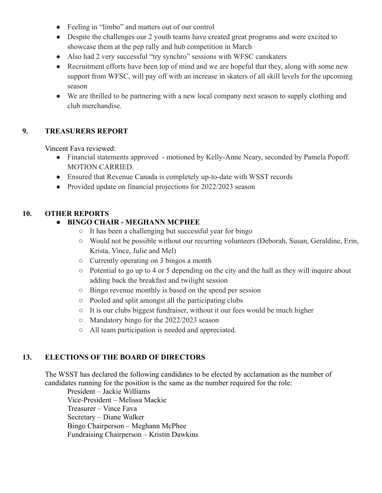- Feeling in "limbo" and matters out of our control
- Despite the challenges our 2 youth teams have created great programs and were excited to showcase them at the pep rally and hub competition in March
- Also had 2 very successful "try synchro" sessions with WFSC canskaters
- Recruitment efforts have been top of mind and we are hopeful that they, along with some new support from WFSC, will pay off with an increase in skaters of all skill levels for the upcoming season
- We are thrilled to be partnering with a new local company next season to supply clothing and club merchandise.

### **9. TREASURERS REPORT**

Vincent Fava reviewed:

- Financial statements approved motioned by Kelly-Anne Neary, seconded by Pamela Popoff. MOTION CARRIED.
- Ensured that Revenue Canada is completely up-to-date with WSST records
- Provided update on financial projections for 2022/2023 season

### **10. OTHER REPORTS**

# **● BINGO CHAIR - MEGHANN MCPHEE**

- It has been a challenging but successful year for bingo
- Would not be possible without our recurring volunteers (Deborah, Susan, Geraldine, Erin, Krista, Vince, Julie and Mel)
- Currently operating on 3 bingos a month
- Potential to go up to 4 or 5 depending on the city and the hall as they will inquire about adding back the breakfast and twilight session
- Bingo revenue monthly is based on the spend per session
- Pooled and split amongst all the participating clubs
- It is our clubs biggest fundraiser, without it our fees would be much higher
- Mandatory bingo for the 2022/2023 season
- All team participation is needed and appreciated.

# **13. ELECTIONS OF THE BOARD OF DIRECTORS**

The WSST has declared the following candidates to be elected by acclamation as the number of candidates running for the position is the same as the number required for the role:

President – Jackie Williams Vice-President – Melissa Mackie Treasurer – Vince Fava Secretary – Diane Walker Bingo Chairperson – Meghann McPhee Fundraising Chairperson – Kristin Dawkins